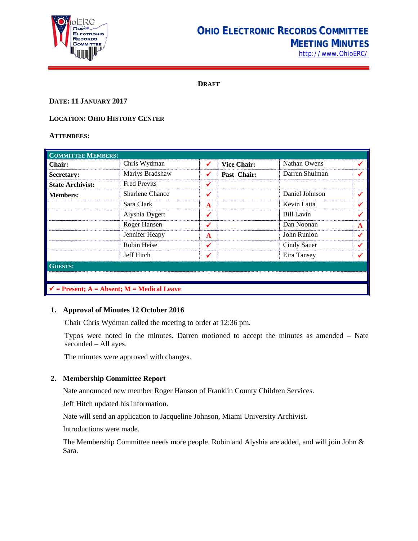

# **OHIO ELECTRONIC RECORDS COMMITTEE MEETING MINUTES** [http://www.OhioERC/](http://www.ohioerc/)

**DRAFT**

# **DATE: 11 JANUARY 2017**

# **LOCATION: OHIO HISTORY CENTER**

#### **ATTENDEES:**

| <b>COMMITTEE MEMBERS:</b>                             |                        |   |                    |                   |   |  |
|-------------------------------------------------------|------------------------|---|--------------------|-------------------|---|--|
| Chair:                                                | Chris Wydman           |   | <b>Vice Chair:</b> | Nathan Owens      |   |  |
| Secretary:                                            | Marlys Bradshaw        |   | Past Chair:        | Darren Shulman    |   |  |
| <b>State Archivist:</b>                               | <b>Fred Previts</b>    |   |                    |                   |   |  |
| <b>Members:</b>                                       | <b>Sharlene Chance</b> |   |                    | Daniel Johnson    |   |  |
|                                                       | Sara Clark             | A |                    | Kevin Latta       |   |  |
|                                                       | Alyshia Dygert         |   |                    | <b>Bill Lavin</b> |   |  |
|                                                       | Roger Hansen           |   |                    | Dan Noonan        | A |  |
|                                                       | Jennifer Heapy         | A |                    | John Runion       |   |  |
|                                                       | Robin Heise            |   |                    | Cindy Sauer       |   |  |
|                                                       | Jeff Hitch             |   |                    | Eira Tansey       |   |  |
| <b>GUESTS:</b>                                        |                        |   |                    |                   |   |  |
|                                                       |                        |   |                    |                   |   |  |
| $\checkmark$ = Present; A = Absent; M = Medical Leave |                        |   |                    |                   |   |  |

# **1. Approval of Minutes 12 October 2016**

Chair Chris Wydman called the meeting to order at 12:36 pm.

Typos were noted in the minutes. Darren motioned to accept the minutes as amended – Nate seconded – All ayes.

The minutes were approved with changes.

#### **2. Membership Committee Report**

Nate announced new member Roger Hanson of Franklin County Children Services.

Jeff Hitch updated his information.

Nate will send an application to Jacqueline Johnson, Miami University Archivist.

Introductions were made.

The Membership Committee needs more people. Robin and Alyshia are added, and will join John & Sara.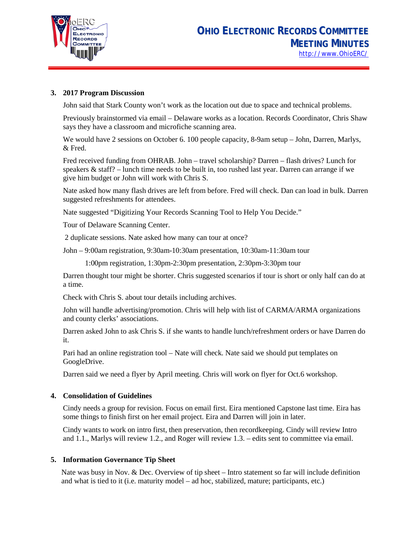

#### **3. 2017 Program Discussion**

John said that Stark County won't work as the location out due to space and technical problems.

Previously brainstormed via email – Delaware works as a location. Records Coordinator, Chris Shaw says they have a classroom and microfiche scanning area.

We would have 2 sessions on October 6. 100 people capacity, 8-9am setup – John, Darren, Marlys, & Fred.

Fred received funding from OHRAB. John – travel scholarship? Darren – flash drives? Lunch for speakers  $\&$  staff? – lunch time needs to be built in, too rushed last year. Darren can arrange if we give him budget or John will work with Chris S.

Nate asked how many flash drives are left from before. Fred will check. Dan can load in bulk. Darren suggested refreshments for attendees.

Nate suggested "Digitizing Your Records Scanning Tool to Help You Decide."

Tour of Delaware Scanning Center.

2 duplicate sessions. Nate asked how many can tour at once?

John – 9:00am registration, 9:30am-10:30am presentation, 10:30am-11:30am tour

1:00pm registration, 1:30pm-2:30pm presentation, 2:30pm-3:30pm tour

Darren thought tour might be shorter. Chris suggested scenarios if tour is short or only half can do at a time.

Check with Chris S. about tour details including archives.

John will handle advertising/promotion. Chris will help with list of CARMA/ARMA organizations and county clerks' associations.

Darren asked John to ask Chris S. if she wants to handle lunch/refreshment orders or have Darren do it.

Pari had an online registration tool – Nate will check. Nate said we should put templates on GoogleDrive.

Darren said we need a flyer by April meeting. Chris will work on flyer for Oct.6 workshop.

#### **4. Consolidation of Guidelines**

Cindy needs a group for revision. Focus on email first. Eira mentioned Capstone last time. Eira has some things to finish first on her email project. Eira and Darren will join in later.

Cindy wants to work on intro first, then preservation, then recordkeeping. Cindy will review Intro and 1.1., Marlys will review 1.2., and Roger will review 1.3. – edits sent to committee via email.

#### **5. Information Governance Tip Sheet**

Nate was busy in Nov. & Dec. Overview of tip sheet – Intro statement so far will include definition and what is tied to it (i.e. maturity model – ad hoc, stabilized, mature; participants, etc.)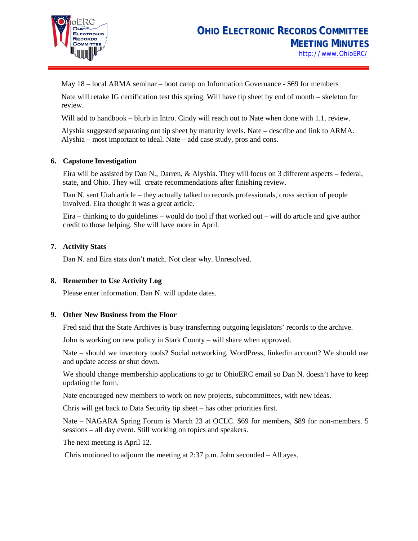

May 18 – local ARMA seminar – boot camp on Information Governance - \$69 for members

Nate will retake IG certification test this spring. Will have tip sheet by end of month – skeleton for review.

Will add to handbook – blurb in Intro. Cindy will reach out to Nate when done with 1.1. review.

Alyshia suggested separating out tip sheet by maturity levels. Nate – describe and link to ARMA. Alyshia – most important to ideal. Nate – add case study, pros and cons.

#### **6. Capstone Investigation**

Eira will be assisted by Dan N., Darren, & Alyshia. They will focus on 3 different aspects – federal, state, and Ohio. They will create recommendations after finishing review.

Dan N. sent Utah article – they actually talked to records professionals, cross section of people involved. Eira thought it was a great article.

Eira – thinking to do guidelines – would do tool if that worked out – will do article and give author credit to those helping. She will have more in April.

# **7. Activity Stats**

Dan N. and Eira stats don't match. Not clear why. Unresolved.

#### **8. Remember to Use Activity Log**

Please enter information. Dan N. will update dates.

#### **9. Other New Business from the Floor**

Fred said that the State Archives is busy transferring outgoing legislators' records to the archive.

John is working on new policy in Stark County – will share when approved.

Nate – should we inventory tools? Social networking, WordPress, linkedin account? We should use and update access or shut down.

We should change membership applications to go to OhioERC email so Dan N. doesn't have to keep updating the form.

Nate encouraged new members to work on new projects, subcommittees, with new ideas.

Chris will get back to Data Security tip sheet – has other priorities first.

Nate – NAGARA Spring Forum is March 23 at OCLC. \$69 for members, \$89 for non-members. 5 sessions – all day event. Still working on topics and speakers.

The next meeting is April 12.

Chris motioned to adjourn the meeting at 2:37 p.m. John seconded – All ayes.